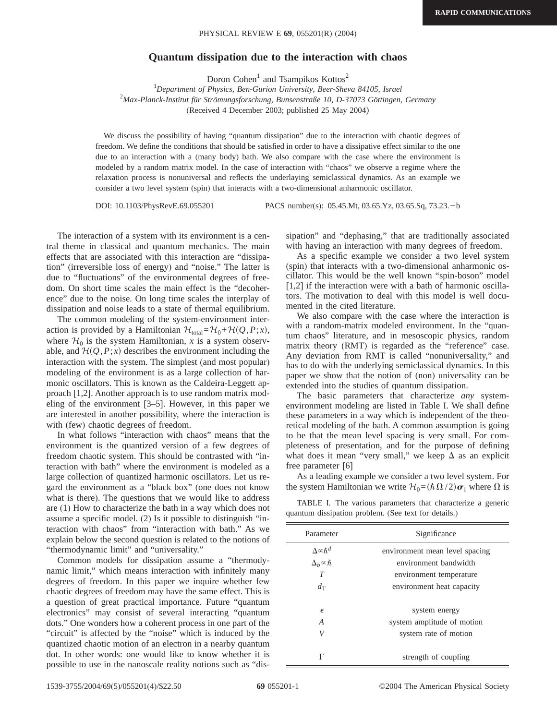## **Quantum dissipation due to the interaction with chaos**

Doron Cohen<sup>1</sup> and Tsampikos Kottos<sup>2</sup>

1 *Department of Physics, Ben-Gurion University, Beer-Sheva 84105, Israel* 2 *Max-Planck-Institut für Strömungsforschung, Bunsenstraße 10, D-37073 Göttingen, Germany* (Received 4 December 2003; published 25 May 2004)

We discuss the possibility of having "quantum dissipation" due to the interaction with chaotic degrees of freedom. We define the conditions that should be satisfied in order to have a dissipative effect similar to the one due to an interaction with a (many body) bath. We also compare with the case where the environment is modeled by a random matrix model. In the case of interaction with "chaos" we observe a regime where the relaxation process is nonuniversal and reflects the underlaying semiclassical dynamics. As an example we consider a two level system (spin) that interacts with a two-dimensional anharmonic oscillator.

DOI: 10.1103/PhysRevE.69.055201 PACS number(s): 05.45.Mt, 03.65.Yz, 03.65.Sq, 73.23.-b

The interaction of a system with its environment is a central theme in classical and quantum mechanics. The main effects that are associated with this interaction are "dissipation" (irreversible loss of energy) and "noise." The latter is due to "fluctuations" of the environmental degrees of freedom. On short time scales the main effect is the "decoherence" due to the noise. On long time scales the interplay of dissipation and noise leads to a state of thermal equilibrium.

The common modeling of the system-environment interaction is provided by a Hamiltonian  $\mathcal{H}_{total} = \mathcal{H}_0 + \mathcal{H}(Q, P; x)$ , where  $\mathcal{H}_0$  is the system Hamiltonian, *x* is a system observable, and  $\mathcal{H}(Q, P; x)$  describes the environment including the interaction with the system. The simplest (and most popular) modeling of the environment is as a large collection of harmonic oscillators. This is known as the Caldeira-Leggett approach [1,2]. Another approach is to use random matrix modeling of the environment [3–5]. However, in this paper we are interested in another possibility, where the interaction is with (few) chaotic degrees of freedom.

In what follows "interaction with chaos" means that the environment is the quantized version of a few degrees of freedom chaotic system. This should be contrasted with "interaction with bath" where the environment is modeled as a large collection of quantized harmonic oscillators. Let us regard the environment as a "black box" (one does not know what is there). The questions that we would like to address are (1) How to characterize the bath in a way which does not assume a specific model. (2) Is it possible to distinguish "interaction with chaos" from "interaction with bath." As we explain below the second question is related to the notions of "thermodynamic limit" and "universality."

Common models for dissipation assume a "thermodynamic limit," which means interaction with infinitely many degrees of freedom. In this paper we inquire whether few chaotic degrees of freedom may have the same effect. This is a question of great practical importance. Future "quantum electronics" may consist of several interacting "quantum dots." One wonders how a coherent process in one part of the "circuit" is affected by the "noise" which is induced by the quantized chaotic motion of an electron in a nearby quantum dot. In other words: one would like to know whether it is possible to use in the nanoscale reality notions such as "dissipation" and "dephasing," that are traditionally associated with having an interaction with many degrees of freedom.

As a specific example we consider a two level system (spin) that interacts with a two-dimensional anharmonic oscillator. This would be the well known "spin-boson" model [1,2] if the interaction were with a bath of harmonic oscillators. The motivation to deal with this model is well documented in the cited literature.

We also compare with the case where the interaction is with a random-matrix modeled environment. In the "quantum chaos" literature, and in mesoscopic physics, random matrix theory (RMT) is regarded as the "reference" case. Any deviation from RMT is called "nonuniversality," and has to do with the underlying semiclassical dynamics. In this paper we show that the notion of (non) universality can be extended into the studies of quantum dissipation.

The basic parameters that characterize *any* systemenvironment modeling are listed in Table I. We shall define these parameters in a way which is independent of the theoretical modeling of the bath. A common assumption is going to be that the mean level spacing is very small. For completeness of presentation, and for the purpose of defining what does it mean "very small," we keep  $\Delta$  as an explicit free parameter [6]

As a leading example we consider a two level system. For the system Hamiltonian we write  $\mathcal{H}_0 = (\hbar \Omega / 2) \sigma_1$  where  $\Omega$  is

TABLE I. The various parameters that characterize a generic quantum dissipation problem. (See text for details.)

| Parameter                  | Significance                   |
|----------------------------|--------------------------------|
| $\Delta \propto \hbar^{d}$ | environment mean level spacing |
| $\Delta_h \propto \hbar$   | environment bandwidth          |
| $\tau$                     | environment temperature        |
| $d_{\rm T}$                | environment heat capacity      |
|                            |                                |
| $\epsilon$                 | system energy                  |
| A                          | system amplitude of motion     |
| V                          | system rate of motion          |
|                            |                                |
| г                          | strength of coupling           |
|                            |                                |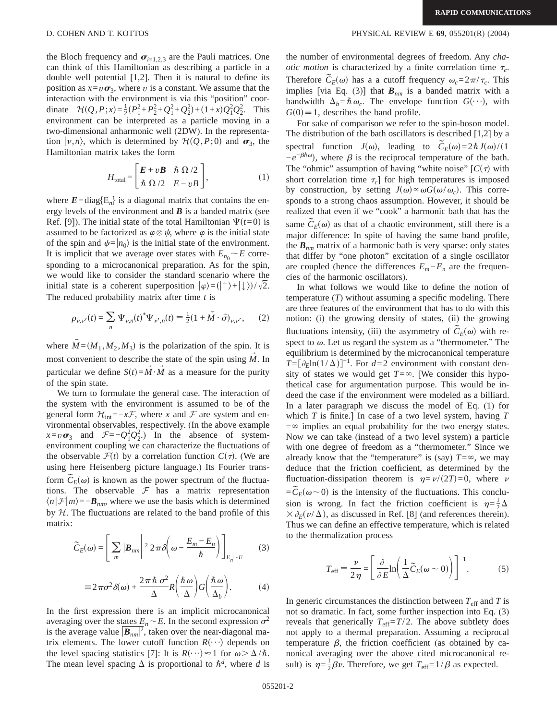the Bloch frequency and  $\sigma_{i=1,2,3}$  are the Pauli matrices. One can think of this Hamiltonian as describing a particle in a double well potential [1,2]. Then it is natural to define its position as  $x = v \sigma_3$ , where *v* is a constant. We assume that the interaction with the environment is via this "position" coordinate  $\mathcal{H}(Q, P; x) = \frac{1}{2}(P_1^2 + P_2^2 + Q_1^2 + Q_2^2) + (1 + x)Q_1^2 Q_2^2$ . This environment can be interpreted as a particle moving in a two-dimensional anharmonic well (2DW). In the representation  $|\nu,n\rangle$ , which is determined by  $\mathcal{H}(Q,P;0)$  and  $\sigma_3$ , the Hamiltonian matrix takes the form

$$
H_{\text{total}} = \begin{bmatrix} E + vB & \hbar \Omega/2 \\ \hbar \Omega/2 & E - vB \end{bmatrix},
$$
 (1)

where  $E = diag{E_n}$  is a diagonal matrix that contains the energy levels of the environment and  $\bf{B}$  is a banded matrix (see Ref. [9]). The initial state of the total Hamiltonian  $\Psi(t=0)$  is assumed to be factorized as  $\varphi \otimes \psi$ , where  $\varphi$  is the initial state of the spin and  $\psi=|n_0\rangle$  is the initial state of the environment. It is implicit that we average over states with  $E_{n_0} \sim E$  corresponding to a microcanonical preparation. As for the spin, we would like to consider the standard scenario where the initial state is a coherent superposition  $|\varphi\rangle = (|\uparrow\rangle + |\downarrow\rangle)/\sqrt{2}$ . The reduced probability matrix after time *t* is

$$
\rho_{\nu,\nu'}(t) = \sum_{n} \Psi_{\nu,n}(t)^* \Psi_{\nu',n}(t) \equiv \frac{1}{2} (1 + \vec{M} \cdot \vec{\sigma})_{\nu,\nu'}, \qquad (2)
$$

where  $M = (M_1, M_2, M_3)$  is the polarization of the spin. It is most convenient to describe the state of the spin using  $\dot{M}$ . In particular we define  $S(t) = \overline{M} \cdot \overline{M}$  as a measure for the purity of the spin state.

We turn to formulate the general case. The interaction of the system with the environment is assumed to be of the general form  $\mathcal{H}_{int} = -x\mathcal{F}$ , where *x* and  $\mathcal F$  are system and environmental observables, respectively. (In the above example  $x = v \sigma_3$  and  $\mathcal{F} = -Q_1^2 Q_2^2$ .) In the absence of systemenvironment coupling we can characterize the fluctuations of the observable  $\mathcal{F}(t)$  by a correlation function  $C(\tau)$ . (We are using here Heisenberg picture language.) Its Fourier transform  $\tilde{C}_E(\omega)$  is known as the power spectrum of the fluctuations. The observable  $F$  has a matrix representation  $\langle n|\mathcal{F}|m\rangle=-\mathbf{B}_{nm}$ , where we use the basis which is determined by  $H$ . The fluctuations are related to the band profile of this matrix:

$$
\widetilde{C}_E(\omega) = \left[ \sum_m |\boldsymbol{B}_{nm}|^2 2 \pi \delta \left( \omega - \frac{E_m - E_n}{\hbar} \right) \right]_{E_n \sim E}
$$
 (3)

$$
\equiv 2\pi\sigma^2\delta(\omega) + \frac{2\pi\hbar\sigma^2}{\Delta}R\left(\frac{\hbar\omega}{\Delta}\right)G\left(\frac{\hbar\omega}{\Delta_b}\right). \tag{4}
$$

In the first expression there is an implicit microcanonical averaging over the states  $E_n \sim E$ . In the second expression  $\sigma^2$ is the average value  $\overline{B_{nm}|^2}$ , taken over the near-diagonal matrix elements. The lower cutoff function  $R(\cdot \cdot \cdot)$  depends on the level spacing statistics [7]: It is  $R(\cdot \cdot \cdot) \approx 1$  for  $\omega > \Delta/\hbar$ . The mean level spacing  $\Delta$  is proportional to  $\hbar^d$ , where *d* is

the number of environmental degrees of freedom. Any *chaotic motion* is characterized by a finite correlation time  $\tau_c$ . Therefore  $\tilde{C}_E(\omega)$  has a a cutoff frequency  $\omega_c = 2\pi/\tau_c$ . This implies [via Eq. (3)] that *Bnm* is a banded matrix with a bandwidth  $\Delta_b = \hbar \omega_c$ . The envelope function  $G(\cdot \cdot \cdot)$ , with  $G(0) \equiv 1$ , describes the band profile.

For sake of comparison we refer to the spin-boson model. The distribution of the bath oscillators is described [1,2] by a spectral function  $J(\omega)$ , leading to  $\tilde{C}_E(\omega) = 2\hbar J(\omega)/(1$  $-e^{-\beta \hbar \omega}$ , where  $\beta$  is the reciprocal temperature of the bath. The "ohmic" assumption of having "white noise"  $[C(\tau)]$  with short correlation time  $\tau_c$ ] for high temperatures is imposed by construction, by setting  $J(\omega) \propto \omega G(\omega/\omega_c)$ . This corresponds to a strong chaos assumption. However, it should be realized that even if we "cook" a harmonic bath that has the same  $\tilde{C}_E(\omega)$  as that of a chaotic environment, still there is a major difference: In spite of having the same band profile, the  $B_{nm}$  matrix of a harmonic bath is very sparse: only states that differ by "one photon" excitation of a single oscillator are coupled (hence the differences  $E_m - E_n$  are the frequencies of the harmonic oscillators).

In what follows we would like to define the notion of temperature (*T*) without assuming a specific modeling. There are three features of the environment that has to do with this notion: (i) the growing density of states, (ii) the growing fluctuations intensity, (iii) the asymmetry of  $\tilde{C}_E(\omega)$  with respect to  $\omega$ . Let us regard the system as a "thermometer." The equilibrium is determined by the microcanonical temperature  $T = [\partial_E \ln(1/\Delta)]^{-1}$ . For *d*=2 environment with constant density of states we would get  $T = \infty$ . [We consider this hypothetical case for argumentation purpose. This would be indeed the case if the environment were modeled as a billiard. In a later paragraph we discuss the model of Eq. (1) for which *T* is finite.] In case of a two level system, having *T*  $=\infty$  implies an equal probability for the two energy states. Now we can take (instead of a two level system) a particle with one degree of freedom as a "thermometer." Since we already know that the "temperature" is (say)  $T = \infty$ , we may deduce that the friction coefficient, as determined by the fluctuation-dissipation theorem is  $\eta = \nu/(2T) = 0$ , where  $\nu$  $=\tilde{C}_E(\omega \sim 0)$  is the intensity of the fluctuations. This conclusion is wrong. In fact the friction coefficient is  $\eta = \frac{1}{2}\Delta$  $\times$   $\partial_E(\nu/\Delta)$ , as discussed in Ref. [8] (and references therein). Thus we can define an effective temperature, which is related to the thermalization process

$$
T_{\text{eff}} \equiv \frac{\nu}{2\,\eta} = \left[ \frac{\partial}{\partial E} \ln \left( \frac{1}{\Delta} \tilde{C}_E(\omega \sim 0) \right) \right]^{-1} . \tag{5}
$$

In generic circumstances the distinction between  $T_{\text{eff}}$  and  $T$  is not so dramatic. In fact, some further inspection into Eq. (3) reveals that generically  $T_{\text{eff}} = T/2$ . The above subtlety does not apply to a thermal preparation. Assuming a reciprocal temperature  $\beta$ , the friction coefficient (as obtained by canonical averaging over the above cited microcanonical result) is  $\eta = \frac{1}{2}\beta \nu$ . Therefore, we get  $T_{\text{eff}}=1/\beta$  as expected.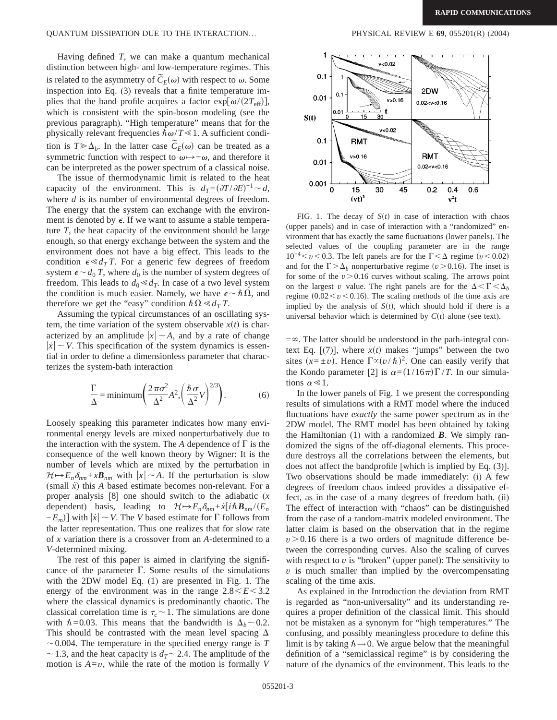## QUANTUM DISSIPATION DUE TO THE INTERACTION… PHYSICAL REVIEW E **69**, 055201(R) (2004)

Having defined *T*, we can make a quantum mechanical distinction between high- and low-temperature regimes. This is related to the asymmetry of  $\tilde{C}_E(\omega)$  with respect to  $\omega$ . Some inspection into Eq. (3) reveals that a finite temperature implies that the band profile acquires a factor  $\exp[\omega/(2T_{\text{eff}})]$ , which is consistent with the spin-boson modeling (see the previous paragraph). "High temperature" means that for the physically relevant frequencies  $\hbar \omega/T \ll 1$ . A sufficient condition is  $T \ge \Delta_b$ . In the latter case  $\tilde{C}_E(\omega)$  can be treated as a symmetric function with respect to  $\omega \rightarrow -\omega$ , and therefore it can be interpreted as the power spectrum of a classical noise.

The issue of thermodynamic limit is related to the heat capacity of the environment. This is  $d_T = (\partial T / \partial E)^{-1} \sim d$ , where *d* is its number of environmental degrees of freedom. The energy that the system can exchange with the environment is denoted by  $\epsilon$ . If we want to assume a stable temperature *T*, the heat capacity of the environment should be large enough, so that energy exchange between the system and the environment does not have a big effect. This leads to the condition  $\epsilon \ll d_T T$ . For a generic few degrees of freedom system  $\epsilon \sim d_0 T$ , where  $d_0$  is the number of system degrees of freedom. This leads to  $d_0 \ll d_T$ . In case of a two level system the condition is much easier. Namely, we have  $\epsilon \sim \hbar \Omega$ , and therefore we get the "easy" condition  $\hbar \Omega \ll d_T T$ .

Assuming the typical circumstances of an oscillating system, the time variation of the system observable  $x(t)$  is characterized by an amplitude  $|x| \sim A$ , and by a rate of change  $|\dot{x}| \sim V$ . This specification of the system dynamics is essential in order to define a dimensionless parameter that characterizes the system-bath interaction

$$
\frac{\Gamma}{\Delta} = \text{minimum} \left( \frac{2\pi\sigma^2}{\Delta^2} A^2, \left( \frac{\hbar \sigma}{\Delta^2} V \right)^{2/3} \right). \tag{6}
$$

Loosely speaking this parameter indicates how many environmental energy levels are mixed nonperturbatively due to the interaction with the system. The  $A$  dependence of  $\Gamma$  is the consequence of the well known theory by Wigner: It is the number of levels which are mixed by the perturbation in  $\mathcal{H} \rightarrow E_n \delta_{nm} + x \mathbf{B}_{nm}$  with  $|x| \sim A$ . If the perturbation is slow (small *x˙*) this *A* based estimate becomes non-relevant. For a proper analysis [8] one should switch to the adiabatic (*x* dependent) basis, leading to  $\mathcal{H} \rightarrow E_n \delta_{nm} + x[i\hbar \mathbf{B}_{nm}/(E_n$  $-E_m$ ] with  $|\dot{x}| \sim V$ . The *V* based estimate for  $\Gamma$  follows from the latter representation. Thus one realizes that for slow rate of *x* variation there is a crossover from an *A*-determined to a *V*-determined mixing.

The rest of this paper is aimed in clarifying the significance of the parameter  $\Gamma$ . Some results of the simulations with the 2DW model Eq. (1) are presented in Fig. 1. The energy of the environment was in the range  $2.8 \le E \le 3.2$ where the classical dynamics is predominantly chaotic. The classical correlation time is  $\tau_c \sim 1$ . The simulations are done with  $\hbar = 0.03$ . This means that the bandwidth is  $\Delta_h \sim 0.2$ . This should be contrasted with the mean level spacing  $\Delta$  $\sim$  0.004. The temperature in the specified energy range is *T*  $\sim$  1.3, and the heat capacity is *d<sub>T</sub>* $\sim$  2.4. The amplitude of the motion is  $A = v$ , while the rate of the motion is formally *V* 



FIG. 1. The decay of  $S(t)$  in case of interaction with chaos (upper panels) and in case of interaction with a "randomized" environment that has exactly the same fluctuations (lower panels). The selected values of the coupling parameter are in the range  $10^{-4}$   $\lt v$   $\lt$  0.3. The left panels are for the  $\Gamma$   $\lt$   $\Delta$  regime ( $v$   $\lt$  0.02) and for the  $\Gamma > \Delta_h$  nonperturbative regime ( $v > 0.16$ ). The inset is for some of the  $v > 0.16$  curves without scaling. The arrows point on the largest *v* value. The right panels are for the  $\Delta < \Gamma < \Delta_b$ regime  $(0.02 \lt v \lt 0.16)$ . The scaling methods of the time axis are implied by the analysis of  $S(t)$ , which should hold if there is a universal behavior which is determined by  $C(t)$  alone (see text).

 $=\infty$ . The latter should be understood in the path-integral context Eq.  $[(7)]$ , where  $x(t)$  makes "jumps" between the two sites  $(x = \pm v)$ . Hence  $\Gamma \propto (v/\hbar)^2$ . One can easily verify that the Kondo parameter [2] is  $\alpha = (1/16\pi)\Gamma /T$ . In our simulations  $\alpha \ll 1$ .

In the lower panels of Fig. 1 we present the corresponding results of simulations with a RMT model where the induced fluctuations have *exactly* the same power spectrum as in the 2DW model. The RMT model has been obtained by taking the Hamiltonian (1) with a randomized *B*. We simply randomized the signs of the off-diagonal elements. This procedure destroys all the correlations between the elements, but does not affect the bandprofile [which is implied by Eq. (3)]. Two observations should be made immediately: (i) A few degrees of freedom chaos indeed provides a dissipative effect, as in the case of a many degrees of freedom bath. (ii) The effect of interaction with "chaos" can be distinguished from the case of a random-matrix modeled environment. The latter claim is based on the observation that in the regime  $v > 0.16$  there is a two orders of magnitude difference between the corresponding curves. Also the scaling of curves with respect to  $v$  is "broken" (upper panel): The sensitivity to *v* is much smaller than implied by the overcompensating scaling of the time axis.

As explained in the Introduction the deviation from RMT is regarded as "non-universality" and its understanding requires a proper definition of the classical limit. This should not be mistaken as a synonym for "high temperatures." The confusing, and possibly meaningless procedure to define this limit is by taking  $\hbar \rightarrow 0$ . We argue below that the meaningful definition of a "semiclassical regime" is by considering the nature of the dynamics of the environment. This leads to the